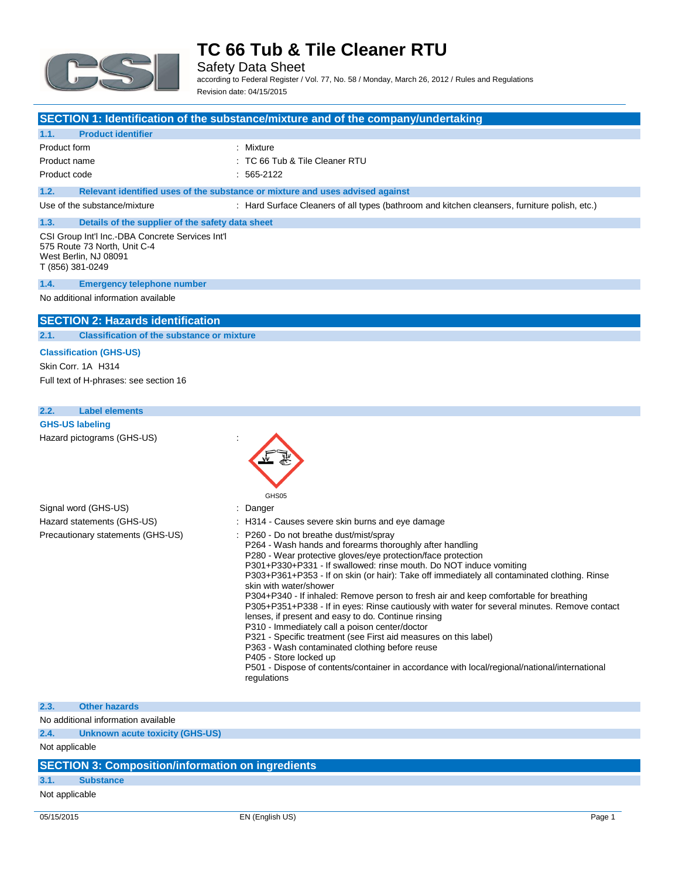

Safety Data Sheet according to Federal Register / Vol. 77, No. 58 / Monday, March 26, 2012 / Rules and Regulations Revision date: 04/15/2015

### **SECTION 1: Identification of the substance/mixture and of the company/undertaking**

### **1.1. Product identifier**

| Product form | : Mixture                      |
|--------------|--------------------------------|
| Product name | : TC 66 Tub & Tile Cleaner RTU |
| Product code | $: 565-2122$                   |

**1.2. Relevant identified uses of the substance or mixture and uses advised against**

Use of the substance/mixture : Hard Surface Cleaners of all types (bathroom and kitchen cleansers, furniture polish, etc.)

### **1.3. Details of the supplier of the safety data sheet** CSI Group Int'l Inc.-DBA Concrete Services Int'l

575 Route 73 North, Unit C-4 West Berlin, NJ 08091 T (856) 381-0249

#### **1.4. Emergency telephone number**

No additional information available

### **SECTION 2: Hazards identification**

#### **2.1. Classification of the substance or mixture**

### **Classification (GHS-US)**

Skin Corr. 1A H314 Full text of H-phrases: see section 16

### **2.2. Label elements**

**GHS-US labeling** Hazard pictograms (GHS-US) :



### **2.3. Other hazards**

No additional information available

**2.4. Unknown acute toxicity (GHS-US)**

Not applicable

# **SECTION 3: Composition/information on ingredients**

## **3.1. Substance**

Not applicable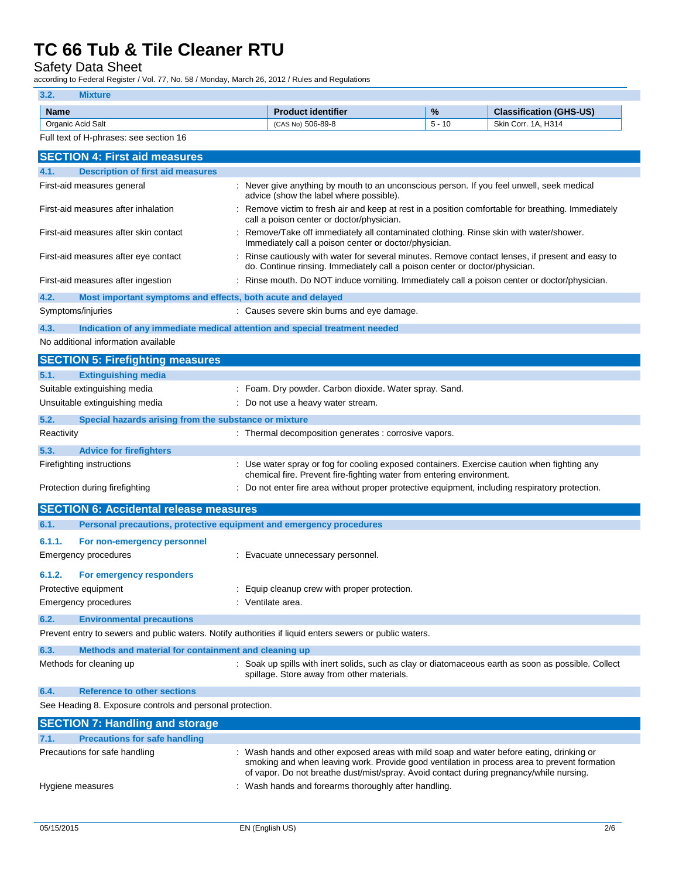Safety Data Sheet

according to Federal Register / Vol. 77, No. 58 / Monday, March 26, 2012 / Rules and Regulations

### **3.2. Mixture**

| <b>Name</b>          | identifier<br>п.<br>roduct. | %              | າ (GHS-US)<br>$-0$<br>$\sim$<br><b>Classification</b> |
|----------------------|-----------------------------|----------------|-------------------------------------------------------|
| Acid Salt<br>Organic | 506-89-8<br>1010h<br>ICAS.  | $\overline{ }$ | . H314<br>Skin (<br>Corr<br>$\Delta$<br>.             |

| Full text of H-phrases: see section 16                              |                                                                                                                                                                                 |  |
|---------------------------------------------------------------------|---------------------------------------------------------------------------------------------------------------------------------------------------------------------------------|--|
| <b>SECTION 4: First aid measures</b>                                |                                                                                                                                                                                 |  |
| 4.1.<br><b>Description of first aid measures</b>                    |                                                                                                                                                                                 |  |
| First-aid measures general                                          | : Never give anything by mouth to an unconscious person. If you feel unwell, seek medical<br>advice (show the label where possible).                                            |  |
| First-aid measures after inhalation                                 | : Remove victim to fresh air and keep at rest in a position comfortable for breathing. Immediately<br>call a poison center or doctor/physician.                                 |  |
| First-aid measures after skin contact                               | : Remove/Take off immediately all contaminated clothing. Rinse skin with water/shower.<br>Immediately call a poison center or doctor/physician.                                 |  |
| First-aid measures after eye contact                                | : Rinse cautiously with water for several minutes. Remove contact lenses, if present and easy to<br>do. Continue rinsing. Immediately call a poison center or doctor/physician. |  |
| First-aid measures after ingestion                                  | : Rinse mouth. Do NOT induce vomiting. Immediately call a poison center or doctor/physician.                                                                                    |  |
| 4.2.<br>Most important symptoms and effects, both acute and delayed |                                                                                                                                                                                 |  |
| Symptoms/injuries                                                   | : Causes severe skin burns and eye damage.                                                                                                                                      |  |
| 4.3.                                                                | Indication of any immediate medical attention and special treatment needed                                                                                                      |  |
| No additional information available                                 |                                                                                                                                                                                 |  |
|                                                                     |                                                                                                                                                                                 |  |
| <b>SECTION 5: Firefighting measures</b>                             |                                                                                                                                                                                 |  |
| <b>Extinguishing media</b><br>5.1.                                  |                                                                                                                                                                                 |  |
| Suitable extinguishing media                                        | : Foam. Dry powder. Carbon dioxide. Water spray. Sand.                                                                                                                          |  |
| Unsuitable extinguishing media                                      | : Do not use a heavy water stream.                                                                                                                                              |  |
| 5.2.<br>Special hazards arising from the substance or mixture       |                                                                                                                                                                                 |  |
| Reactivity                                                          | : Thermal decomposition generates : corrosive vapors.                                                                                                                           |  |
| 5.3.<br><b>Advice for firefighters</b>                              |                                                                                                                                                                                 |  |
| Firefighting instructions                                           | : Use water spray or fog for cooling exposed containers. Exercise caution when fighting any<br>chemical fire. Prevent fire-fighting water from entering environment.            |  |
| Protection during firefighting                                      | : Do not enter fire area without proper protective equipment, including respiratory protection.                                                                                 |  |
| <b>SECTION 6: Accidental release measures</b>                       |                                                                                                                                                                                 |  |

| 6.1.1. | For non-emergency personnel<br>Emergency procedures                                                     | : Evacuate unnecessary personnel.                                                                                                                 |  |
|--------|---------------------------------------------------------------------------------------------------------|---------------------------------------------------------------------------------------------------------------------------------------------------|--|
| 6.1.2. | For emergency responders                                                                                |                                                                                                                                                   |  |
|        | Protective equipment                                                                                    | : Equip cleanup crew with proper protection.                                                                                                      |  |
|        | Emergency procedures                                                                                    | : Ventilate area.                                                                                                                                 |  |
| 6.2.   | <b>Environmental precautions</b>                                                                        |                                                                                                                                                   |  |
|        | Prevent entry to sewers and public waters. Notify authorities if liquid enters sewers or public waters. |                                                                                                                                                   |  |
| 6.3.   | Methods and material for containment and cleaning up                                                    |                                                                                                                                                   |  |
|        | Methods for cleaning up                                                                                 | : Soak up spills with inert solids, such as clay or diatomaceous earth as soon as possible. Collect<br>spillage. Store away from other materials. |  |

**6.4. Reference to other sections**

See Heading 8. Exposure controls and personal protection.

| <b>SECTION 7: Handling and storage</b>       |                                                                                                                                                                                                                                                                                     |
|----------------------------------------------|-------------------------------------------------------------------------------------------------------------------------------------------------------------------------------------------------------------------------------------------------------------------------------------|
| <b>Precautions for safe handling</b><br>7.1. |                                                                                                                                                                                                                                                                                     |
| Precautions for safe handling                | : Wash hands and other exposed areas with mild soap and water before eating, drinking or<br>smoking and when leaving work. Provide good ventilation in process area to prevent formation<br>of vapor. Do not breathe dust/mist/spray. Avoid contact during pregnancy/while nursing. |
| Hygiene measures                             | : Wash hands and forearms thoroughly after handling.                                                                                                                                                                                                                                |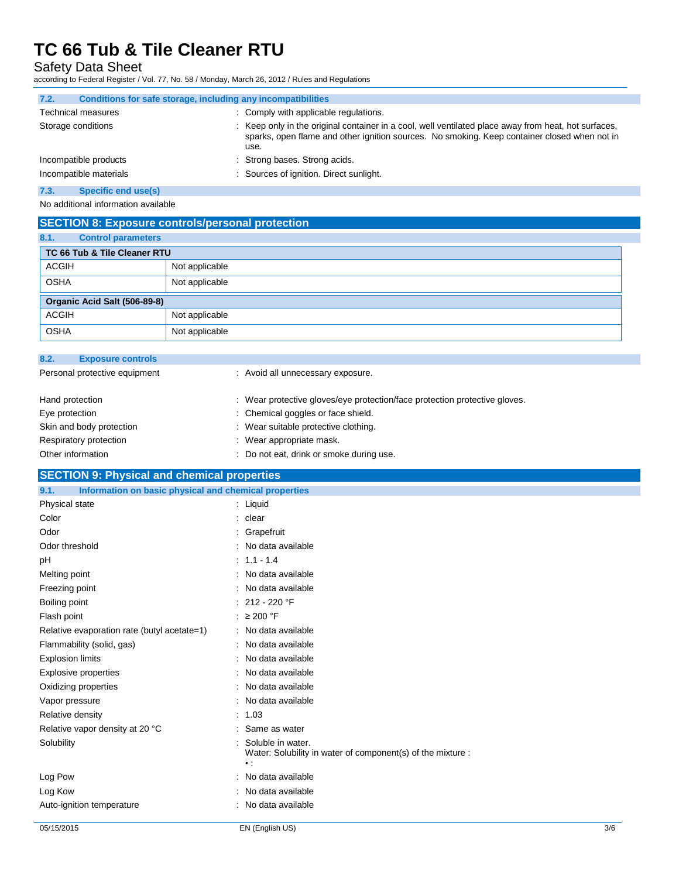Safety Data Sheet

according to Federal Register / Vol. 77, No. 58 / Monday, March 26, 2012 / Rules and Regulations

| 7.2.<br>Conditions for safe storage, including any incompatibilities |                                                                                                                                                                                                              |
|----------------------------------------------------------------------|--------------------------------------------------------------------------------------------------------------------------------------------------------------------------------------------------------------|
| <b>Technical measures</b>                                            | : Comply with applicable regulations.                                                                                                                                                                        |
| Storage conditions                                                   | : Keep only in the original container in a cool, well ventilated place away from heat, hot surfaces,<br>sparks, open flame and other ignition sources. No smoking. Keep container closed when not in<br>use. |
| Incompatible products                                                | : Strong bases. Strong acids.                                                                                                                                                                                |
| Incompatible materials                                               | : Sources of ignition. Direct sunlight.                                                                                                                                                                      |
| $ -$                                                                 |                                                                                                                                                                                                              |

#### **7.3. Specific end use(s)**

No additional information available

# **SECTION 8: Exposure controls/personal protection**

| 8.1.<br><b>Control parameters</b> |                |
|-----------------------------------|----------------|
| TC 66 Tub & Tile Cleaner RTU      |                |
| <b>ACGIH</b>                      | Not applicable |
| <b>OSHA</b>                       | Not applicable |
| Organic Acid Salt (506-89-8)      |                |
| <b>ACGIH</b>                      | Not applicable |
| <b>OSHA</b>                       | Not applicable |

| 8.2.            | <b>Exposure controls</b>      |                                                                            |  |
|-----------------|-------------------------------|----------------------------------------------------------------------------|--|
|                 | Personal protective equipment | : Avoid all unnecessary exposure.                                          |  |
| Hand protection |                               | : Wear protective gloves/eye protection/face protection protective gloves. |  |
| Eye protection  |                               | : Chemical goggles or face shield.                                         |  |
|                 | Skin and body protection      | : Wear suitable protective clothing.                                       |  |
|                 | Respiratory protection        | : Wear appropriate mask.                                                   |  |
|                 | Other information             | : Do not eat, drink or smoke during use.                                   |  |

# **SECTION 9: Physical and chemical properties**

| 9.1.<br>Information on basic physical and chemical properties |                                                                                                 |
|---------------------------------------------------------------|-------------------------------------------------------------------------------------------------|
| Physical state                                                | : Liquid                                                                                        |
| Color                                                         | : clear                                                                                         |
| Odor                                                          | : Grapefruit                                                                                    |
| Odor threshold                                                | : No data available                                                                             |
| pH                                                            | $: 1.1 - 1.4$                                                                                   |
| Melting point                                                 | : No data available                                                                             |
| Freezing point                                                | : No data available                                                                             |
| Boiling point                                                 | : $212 - 220$ °F                                                                                |
| Flash point                                                   | : $\geq 200$ °F                                                                                 |
| Relative evaporation rate (butyl acetate=1)                   | : No data available                                                                             |
| Flammability (solid, gas)                                     | : No data available                                                                             |
| <b>Explosion limits</b>                                       | : No data available                                                                             |
| Explosive properties                                          | : No data available                                                                             |
| Oxidizing properties                                          | : No data available                                                                             |
| Vapor pressure                                                | : No data available                                                                             |
| Relative density                                              | : 1.03                                                                                          |
| Relative vapor density at 20 °C                               | : Same as water                                                                                 |
| Solubility                                                    | Soluble in water.<br>Water: Solubility in water of component(s) of the mixture :<br>$\bullet$ : |
| Log Pow                                                       | : No data available                                                                             |
| Log Kow                                                       | : No data available                                                                             |
| Auto-ignition temperature                                     | : No data available                                                                             |
|                                                               |                                                                                                 |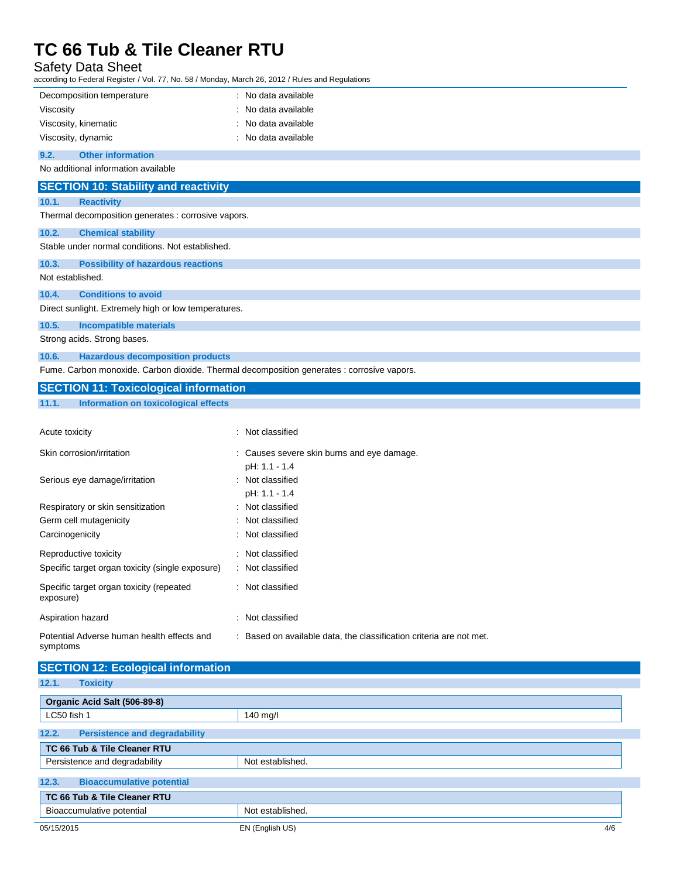Safety Data Sheet

according to Federal Register / Vol. 77, No. 58 / Monday, March 26, 2012 / Rules and Regulations

| Decomposition temperature<br>: No data available<br>Viscosity<br>No data available<br>No data available<br>Viscosity, kinematic<br>Viscosity, dynamic<br>No data available<br><b>Other information</b><br>No additional information available<br><b>SECTION 10: Stability and reactivity</b><br>10.1.<br><b>Reactivity</b><br>Thermal decomposition generates : corrosive vapors.<br><b>Chemical stability</b><br>Stable under normal conditions. Not established.<br><b>Possibility of hazardous reactions</b><br>Not established.<br><b>Conditions to avoid</b><br>Direct sunlight. Extremely high or low temperatures.<br><b>Incompatible materials</b><br>Strong acids. Strong bases.<br><b>Hazardous decomposition products</b><br>Fume. Carbon monoxide. Carbon dioxide. Thermal decomposition generates : corrosive vapors.<br><b>SECTION 11: Toxicological information</b><br>11.1.<br>Information on toxicological effects<br>: Not classified<br>Skin corrosion/irritation<br>: Causes severe skin burns and eye damage.<br>pH: 1.1 - 1.4<br>: Not classified<br>pH: 1.1 - 1.4<br>Respiratory or skin sensitization<br>Not classified<br>Germ cell mutagenicity<br>Not classified<br>Not classified<br>Carcinogenicity<br>Not classified<br>Specific target organ toxicity (single exposure)<br>: Not classified<br>: Not classified<br>: Not classified<br>Potential Adverse human health effects and<br>: Based on available data, the classification criteria are not met.<br><b>SECTION 12: Ecological information</b><br><b>Toxicity</b> | ccording to Federal Register / Vol. 77, No. 58 / Monday, March 26, 2012 / Rules and Regulations |  |
|---------------------------------------------------------------------------------------------------------------------------------------------------------------------------------------------------------------------------------------------------------------------------------------------------------------------------------------------------------------------------------------------------------------------------------------------------------------------------------------------------------------------------------------------------------------------------------------------------------------------------------------------------------------------------------------------------------------------------------------------------------------------------------------------------------------------------------------------------------------------------------------------------------------------------------------------------------------------------------------------------------------------------------------------------------------------------------------------------------------------------------------------------------------------------------------------------------------------------------------------------------------------------------------------------------------------------------------------------------------------------------------------------------------------------------------------------------------------------------------------------------------------------------------------------------|-------------------------------------------------------------------------------------------------|--|
|                                                                                                                                                                                                                                                                                                                                                                                                                                                                                                                                                                                                                                                                                                                                                                                                                                                                                                                                                                                                                                                                                                                                                                                                                                                                                                                                                                                                                                                                                                                                                         |                                                                                                 |  |
|                                                                                                                                                                                                                                                                                                                                                                                                                                                                                                                                                                                                                                                                                                                                                                                                                                                                                                                                                                                                                                                                                                                                                                                                                                                                                                                                                                                                                                                                                                                                                         |                                                                                                 |  |
|                                                                                                                                                                                                                                                                                                                                                                                                                                                                                                                                                                                                                                                                                                                                                                                                                                                                                                                                                                                                                                                                                                                                                                                                                                                                                                                                                                                                                                                                                                                                                         |                                                                                                 |  |
|                                                                                                                                                                                                                                                                                                                                                                                                                                                                                                                                                                                                                                                                                                                                                                                                                                                                                                                                                                                                                                                                                                                                                                                                                                                                                                                                                                                                                                                                                                                                                         |                                                                                                 |  |
|                                                                                                                                                                                                                                                                                                                                                                                                                                                                                                                                                                                                                                                                                                                                                                                                                                                                                                                                                                                                                                                                                                                                                                                                                                                                                                                                                                                                                                                                                                                                                         | 9.2.                                                                                            |  |
|                                                                                                                                                                                                                                                                                                                                                                                                                                                                                                                                                                                                                                                                                                                                                                                                                                                                                                                                                                                                                                                                                                                                                                                                                                                                                                                                                                                                                                                                                                                                                         |                                                                                                 |  |
|                                                                                                                                                                                                                                                                                                                                                                                                                                                                                                                                                                                                                                                                                                                                                                                                                                                                                                                                                                                                                                                                                                                                                                                                                                                                                                                                                                                                                                                                                                                                                         |                                                                                                 |  |
|                                                                                                                                                                                                                                                                                                                                                                                                                                                                                                                                                                                                                                                                                                                                                                                                                                                                                                                                                                                                                                                                                                                                                                                                                                                                                                                                                                                                                                                                                                                                                         |                                                                                                 |  |
|                                                                                                                                                                                                                                                                                                                                                                                                                                                                                                                                                                                                                                                                                                                                                                                                                                                                                                                                                                                                                                                                                                                                                                                                                                                                                                                                                                                                                                                                                                                                                         |                                                                                                 |  |
|                                                                                                                                                                                                                                                                                                                                                                                                                                                                                                                                                                                                                                                                                                                                                                                                                                                                                                                                                                                                                                                                                                                                                                                                                                                                                                                                                                                                                                                                                                                                                         | 10.2.                                                                                           |  |
|                                                                                                                                                                                                                                                                                                                                                                                                                                                                                                                                                                                                                                                                                                                                                                                                                                                                                                                                                                                                                                                                                                                                                                                                                                                                                                                                                                                                                                                                                                                                                         |                                                                                                 |  |
|                                                                                                                                                                                                                                                                                                                                                                                                                                                                                                                                                                                                                                                                                                                                                                                                                                                                                                                                                                                                                                                                                                                                                                                                                                                                                                                                                                                                                                                                                                                                                         | 10.3.                                                                                           |  |
|                                                                                                                                                                                                                                                                                                                                                                                                                                                                                                                                                                                                                                                                                                                                                                                                                                                                                                                                                                                                                                                                                                                                                                                                                                                                                                                                                                                                                                                                                                                                                         |                                                                                                 |  |
|                                                                                                                                                                                                                                                                                                                                                                                                                                                                                                                                                                                                                                                                                                                                                                                                                                                                                                                                                                                                                                                                                                                                                                                                                                                                                                                                                                                                                                                                                                                                                         | 10.4.                                                                                           |  |
|                                                                                                                                                                                                                                                                                                                                                                                                                                                                                                                                                                                                                                                                                                                                                                                                                                                                                                                                                                                                                                                                                                                                                                                                                                                                                                                                                                                                                                                                                                                                                         |                                                                                                 |  |
|                                                                                                                                                                                                                                                                                                                                                                                                                                                                                                                                                                                                                                                                                                                                                                                                                                                                                                                                                                                                                                                                                                                                                                                                                                                                                                                                                                                                                                                                                                                                                         | 10.5.                                                                                           |  |
|                                                                                                                                                                                                                                                                                                                                                                                                                                                                                                                                                                                                                                                                                                                                                                                                                                                                                                                                                                                                                                                                                                                                                                                                                                                                                                                                                                                                                                                                                                                                                         |                                                                                                 |  |
|                                                                                                                                                                                                                                                                                                                                                                                                                                                                                                                                                                                                                                                                                                                                                                                                                                                                                                                                                                                                                                                                                                                                                                                                                                                                                                                                                                                                                                                                                                                                                         | 10.6.                                                                                           |  |
|                                                                                                                                                                                                                                                                                                                                                                                                                                                                                                                                                                                                                                                                                                                                                                                                                                                                                                                                                                                                                                                                                                                                                                                                                                                                                                                                                                                                                                                                                                                                                         |                                                                                                 |  |
|                                                                                                                                                                                                                                                                                                                                                                                                                                                                                                                                                                                                                                                                                                                                                                                                                                                                                                                                                                                                                                                                                                                                                                                                                                                                                                                                                                                                                                                                                                                                                         |                                                                                                 |  |
|                                                                                                                                                                                                                                                                                                                                                                                                                                                                                                                                                                                                                                                                                                                                                                                                                                                                                                                                                                                                                                                                                                                                                                                                                                                                                                                                                                                                                                                                                                                                                         |                                                                                                 |  |
|                                                                                                                                                                                                                                                                                                                                                                                                                                                                                                                                                                                                                                                                                                                                                                                                                                                                                                                                                                                                                                                                                                                                                                                                                                                                                                                                                                                                                                                                                                                                                         |                                                                                                 |  |
|                                                                                                                                                                                                                                                                                                                                                                                                                                                                                                                                                                                                                                                                                                                                                                                                                                                                                                                                                                                                                                                                                                                                                                                                                                                                                                                                                                                                                                                                                                                                                         | Acute toxicity                                                                                  |  |
|                                                                                                                                                                                                                                                                                                                                                                                                                                                                                                                                                                                                                                                                                                                                                                                                                                                                                                                                                                                                                                                                                                                                                                                                                                                                                                                                                                                                                                                                                                                                                         |                                                                                                 |  |
|                                                                                                                                                                                                                                                                                                                                                                                                                                                                                                                                                                                                                                                                                                                                                                                                                                                                                                                                                                                                                                                                                                                                                                                                                                                                                                                                                                                                                                                                                                                                                         |                                                                                                 |  |
|                                                                                                                                                                                                                                                                                                                                                                                                                                                                                                                                                                                                                                                                                                                                                                                                                                                                                                                                                                                                                                                                                                                                                                                                                                                                                                                                                                                                                                                                                                                                                         | Serious eye damage/irritation                                                                   |  |
|                                                                                                                                                                                                                                                                                                                                                                                                                                                                                                                                                                                                                                                                                                                                                                                                                                                                                                                                                                                                                                                                                                                                                                                                                                                                                                                                                                                                                                                                                                                                                         |                                                                                                 |  |
|                                                                                                                                                                                                                                                                                                                                                                                                                                                                                                                                                                                                                                                                                                                                                                                                                                                                                                                                                                                                                                                                                                                                                                                                                                                                                                                                                                                                                                                                                                                                                         |                                                                                                 |  |
|                                                                                                                                                                                                                                                                                                                                                                                                                                                                                                                                                                                                                                                                                                                                                                                                                                                                                                                                                                                                                                                                                                                                                                                                                                                                                                                                                                                                                                                                                                                                                         |                                                                                                 |  |
|                                                                                                                                                                                                                                                                                                                                                                                                                                                                                                                                                                                                                                                                                                                                                                                                                                                                                                                                                                                                                                                                                                                                                                                                                                                                                                                                                                                                                                                                                                                                                         |                                                                                                 |  |
|                                                                                                                                                                                                                                                                                                                                                                                                                                                                                                                                                                                                                                                                                                                                                                                                                                                                                                                                                                                                                                                                                                                                                                                                                                                                                                                                                                                                                                                                                                                                                         | Reproductive toxicity                                                                           |  |
|                                                                                                                                                                                                                                                                                                                                                                                                                                                                                                                                                                                                                                                                                                                                                                                                                                                                                                                                                                                                                                                                                                                                                                                                                                                                                                                                                                                                                                                                                                                                                         |                                                                                                 |  |
|                                                                                                                                                                                                                                                                                                                                                                                                                                                                                                                                                                                                                                                                                                                                                                                                                                                                                                                                                                                                                                                                                                                                                                                                                                                                                                                                                                                                                                                                                                                                                         | Specific target organ toxicity (repeated<br>exposure)                                           |  |
|                                                                                                                                                                                                                                                                                                                                                                                                                                                                                                                                                                                                                                                                                                                                                                                                                                                                                                                                                                                                                                                                                                                                                                                                                                                                                                                                                                                                                                                                                                                                                         | Aspiration hazard                                                                               |  |
|                                                                                                                                                                                                                                                                                                                                                                                                                                                                                                                                                                                                                                                                                                                                                                                                                                                                                                                                                                                                                                                                                                                                                                                                                                                                                                                                                                                                                                                                                                                                                         | symptoms                                                                                        |  |
|                                                                                                                                                                                                                                                                                                                                                                                                                                                                                                                                                                                                                                                                                                                                                                                                                                                                                                                                                                                                                                                                                                                                                                                                                                                                                                                                                                                                                                                                                                                                                         |                                                                                                 |  |
|                                                                                                                                                                                                                                                                                                                                                                                                                                                                                                                                                                                                                                                                                                                                                                                                                                                                                                                                                                                                                                                                                                                                                                                                                                                                                                                                                                                                                                                                                                                                                         | 12.1.                                                                                           |  |
| Organic Acid Salt (506-89-8)                                                                                                                                                                                                                                                                                                                                                                                                                                                                                                                                                                                                                                                                                                                                                                                                                                                                                                                                                                                                                                                                                                                                                                                                                                                                                                                                                                                                                                                                                                                            |                                                                                                 |  |
| LC50 fish 1<br>140 mg/l                                                                                                                                                                                                                                                                                                                                                                                                                                                                                                                                                                                                                                                                                                                                                                                                                                                                                                                                                                                                                                                                                                                                                                                                                                                                                                                                                                                                                                                                                                                                 |                                                                                                 |  |
| <b>Persistence and degradability</b><br>12.2.                                                                                                                                                                                                                                                                                                                                                                                                                                                                                                                                                                                                                                                                                                                                                                                                                                                                                                                                                                                                                                                                                                                                                                                                                                                                                                                                                                                                                                                                                                           |                                                                                                 |  |

| <b>Persistence and degradability</b><br>12.2. |                  |  |
|-----------------------------------------------|------------------|--|
| TC 66 Tub & Tile Cleaner RTU                  |                  |  |
| Persistence and degradability                 | Not established. |  |
|                                               |                  |  |
| 12.3.<br><b>Bioaccumulative potential</b>     |                  |  |
| TC 66 Tub & Tile Cleaner RTU                  |                  |  |
| Bioaccumulative potential                     | Not established. |  |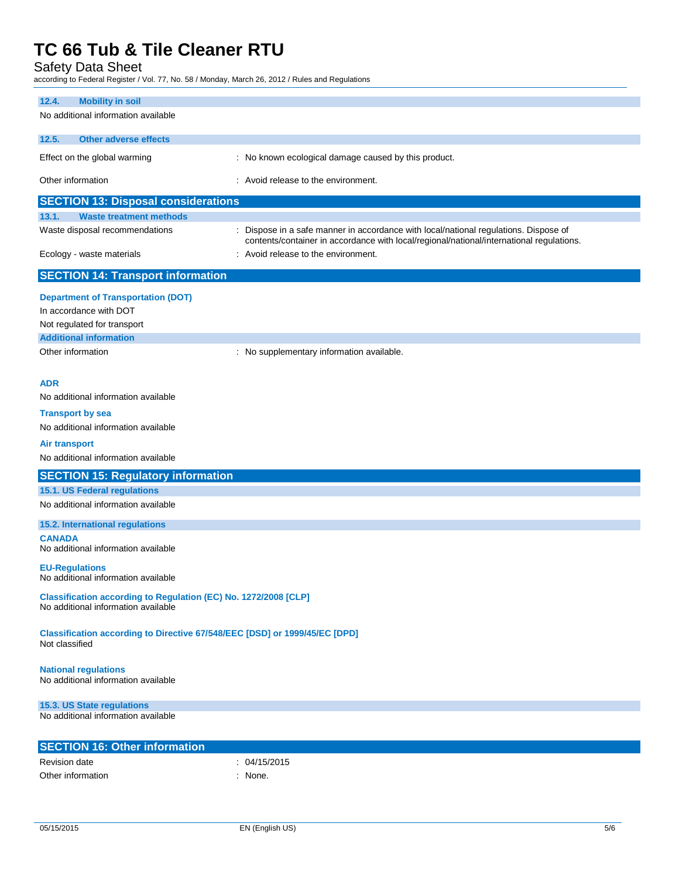Safety Data Sheet

according to Federal Register / Vol. 77, No. 58 / Monday, March 26, 2012 / Rules and Regulations

| 12.4.<br><b>Mobility in soil</b>                                                             |                                                                                                                                                                                  |
|----------------------------------------------------------------------------------------------|----------------------------------------------------------------------------------------------------------------------------------------------------------------------------------|
| No additional information available                                                          |                                                                                                                                                                                  |
| 12.5.<br><b>Other adverse effects</b>                                                        |                                                                                                                                                                                  |
|                                                                                              |                                                                                                                                                                                  |
| Effect on the global warming                                                                 | : No known ecological damage caused by this product.                                                                                                                             |
| Other information                                                                            | : Avoid release to the environment.                                                                                                                                              |
| <b>SECTION 13: Disposal considerations</b>                                                   |                                                                                                                                                                                  |
| 13.1.<br><b>Waste treatment methods</b>                                                      |                                                                                                                                                                                  |
| Waste disposal recommendations                                                               | : Dispose in a safe manner in accordance with local/national regulations. Dispose of<br>contents/container in accordance with local/regional/national/international regulations. |
| Ecology - waste materials                                                                    | : Avoid release to the environment.                                                                                                                                              |
| <b>SECTION 14: Transport information</b>                                                     |                                                                                                                                                                                  |
| <b>Department of Transportation (DOT)</b>                                                    |                                                                                                                                                                                  |
| In accordance with DOT                                                                       |                                                                                                                                                                                  |
| Not regulated for transport                                                                  |                                                                                                                                                                                  |
| <b>Additional information</b>                                                                |                                                                                                                                                                                  |
| Other information                                                                            | : No supplementary information available.                                                                                                                                        |
|                                                                                              |                                                                                                                                                                                  |
| <b>ADR</b>                                                                                   |                                                                                                                                                                                  |
| No additional information available                                                          |                                                                                                                                                                                  |
| <b>Transport by sea</b>                                                                      |                                                                                                                                                                                  |
| No additional information available                                                          |                                                                                                                                                                                  |
| <b>Air transport</b>                                                                         |                                                                                                                                                                                  |
| No additional information available                                                          |                                                                                                                                                                                  |
| <b>SECTION 15: Regulatory information</b>                                                    |                                                                                                                                                                                  |
| <b>15.1. US Federal regulations</b>                                                          |                                                                                                                                                                                  |
| No additional information available                                                          |                                                                                                                                                                                  |
| <b>15.2. International regulations</b>                                                       |                                                                                                                                                                                  |
| <b>CANADA</b>                                                                                |                                                                                                                                                                                  |
| No additional information available                                                          |                                                                                                                                                                                  |
| <b>EU-Regulations</b><br>No additional information available                                 |                                                                                                                                                                                  |
| Classification according to Regulation (EC) No. 1272/2008 [CLP]                              |                                                                                                                                                                                  |
| No additional information available                                                          |                                                                                                                                                                                  |
| Classification according to Directive 67/548/EEC [DSD] or 1999/45/EC [DPD]<br>Not classified |                                                                                                                                                                                  |
| <b>National regulations</b><br>No additional information available                           |                                                                                                                                                                                  |
| 15.3. US State regulations                                                                   |                                                                                                                                                                                  |
| No additional information available                                                          |                                                                                                                                                                                  |
| <b>SECTION 16: Other information</b>                                                         |                                                                                                                                                                                  |
| <b>Revision date</b>                                                                         | : 04/15/2015                                                                                                                                                                     |
| Other information                                                                            | : None.                                                                                                                                                                          |
|                                                                                              |                                                                                                                                                                                  |